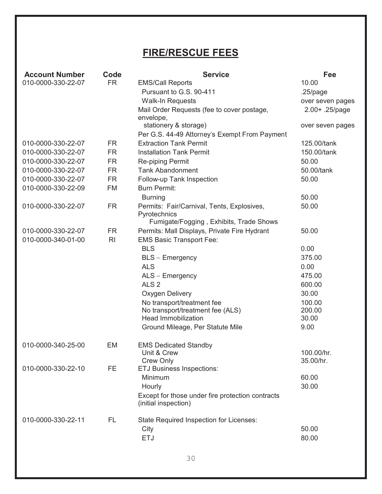## **FIRE/RESCUE FEES**

| <b>Account Number</b> | Code           | <b>Service</b>                                                           | Fee              |
|-----------------------|----------------|--------------------------------------------------------------------------|------------------|
| 010-0000-330-22-07    | <b>FR</b>      | <b>EMS/Call Reports</b>                                                  | 10.00            |
|                       |                | Pursuant to G.S. 90-411                                                  | $.25$ /page      |
|                       |                | <b>Walk-In Requests</b>                                                  | over seven pages |
|                       |                | Mail Order Requests (fee to cover postage,                               | 2.00+ .25/page   |
|                       |                | envelope,<br>stationery & storage)                                       |                  |
|                       |                | Per G.S. 44-49 Attorney's Exempt From Payment                            | over seven pages |
| 010-0000-330-22-07    | <b>FR</b>      | <b>Extraction Tank Permit</b>                                            | 125.00/tank      |
| 010-0000-330-22-07    | <b>FR</b>      | <b>Installation Tank Permit</b>                                          | 150.00/tank      |
| 010-0000-330-22-07    | <b>FR</b>      | Re-piping Permit                                                         | 50.00            |
| 010-0000-330-22-07    | <b>FR</b>      | <b>Tank Abandonment</b>                                                  | 50.00/tank       |
| 010-0000-330-22-07    | <b>FR</b>      |                                                                          | 50.00            |
| 010-0000-330-22-09    | FM             | Follow-up Tank Inspection<br><b>Burn Permit:</b>                         |                  |
|                       |                |                                                                          |                  |
|                       |                | <b>Burning</b>                                                           | 50.00            |
| 010-0000-330-22-07    | <b>FR</b>      | Permits: Fair/Carnival, Tents, Explosives,<br>Pyrotechnics               | 50.00            |
|                       |                | Fumigate/Fogging, Exhibits, Trade Shows                                  |                  |
| 010-0000-330-22-07    | <b>FR</b>      | Permits: Mall Displays, Private Fire Hydrant                             | 50.00            |
| 010-0000-340-01-00    | R <sub>l</sub> | <b>EMS Basic Transport Fee:</b>                                          |                  |
|                       |                | <b>BLS</b>                                                               | 0.00             |
|                       |                | <b>BLS - Emergency</b>                                                   | 375.00           |
|                       |                | <b>ALS</b>                                                               | 0.00             |
|                       |                | ALS - Emergency                                                          | 475.00           |
|                       |                | ALS <sub>2</sub>                                                         | 600.00           |
|                       |                | Oxygen Delivery                                                          | 30.00            |
|                       |                | No transport/treatment fee                                               | 100.00           |
|                       |                | No transport/treatment fee (ALS)                                         | 200.00           |
|                       |                | <b>Head Immobilization</b>                                               | 30.00            |
|                       |                | Ground Mileage, Per Statute Mile                                         | 9.00             |
| 010-0000-340-25-00    | EM             | <b>EMS Dedicated Standby</b>                                             |                  |
|                       |                | Unit & Crew                                                              | 100.00/hr.       |
|                       |                | <b>Crew Only</b>                                                         | 35.00/hr.        |
| 010-0000-330-22-10    | FE             | <b>ETJ Business Inspections:</b>                                         |                  |
|                       |                | Minimum                                                                  | 60.00            |
|                       |                | Hourly                                                                   | 30.00            |
|                       |                | Except for those under fire protection contracts<br>(initial inspection) |                  |
| 010-0000-330-22-11    | FL             | State Required Inspection for Licenses:                                  |                  |
|                       |                | City                                                                     | 50.00            |
|                       |                | <b>ETJ</b>                                                               | 80.00            |
|                       |                |                                                                          |                  |